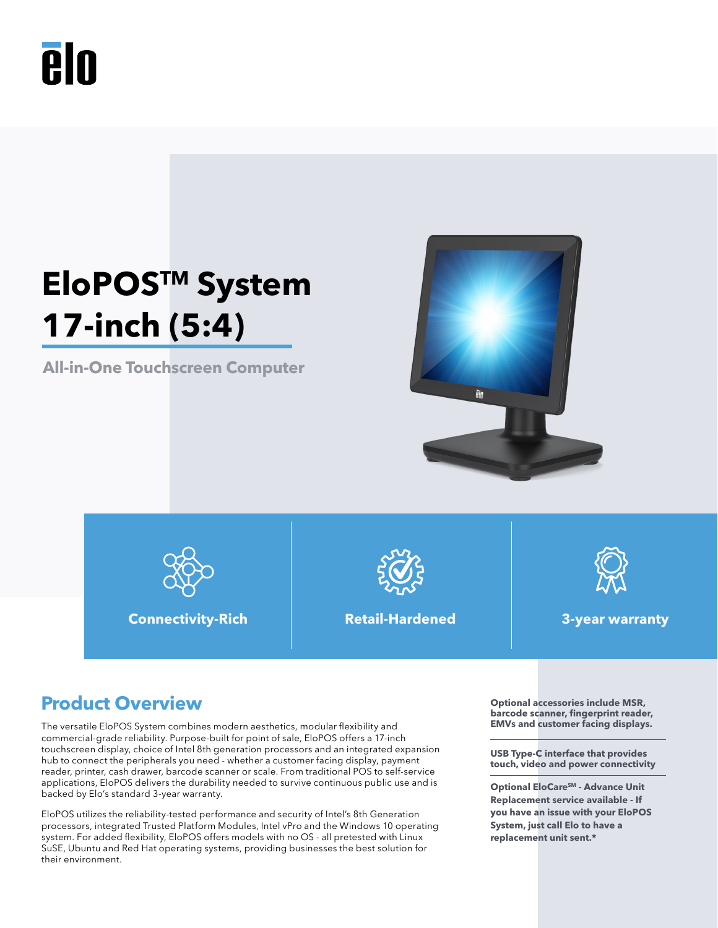# **PIN**

## **EloPOSTM System 17-inch (5:4)**

**All-in-One Touchscreen Computer**





**Connectivity-Rich Retail-Hardened 3-year warranty**





### **Product Overview Optional accessories include MSR,**

The versatile EloPOS System combines modern aesthetics, modular flexibility and commercial-grade reliability. Purpose-built for point of sale, EloPOS offers a 17-inch touchscreen display, choice of Intel 8th generation processors and an integrated expansion hub to connect the peripherals you need - whether a customer facing display, payment reader, printer, cash drawer, barcode scanner or scale. From traditional POS to self-service applications, EloPOS delivers the durability needed to survive continuous public use and is backed by Elo's standard 3-year warranty.

EloPOS utilizes the reliability-tested performance and security of Intel's 8th Generation processors, integrated Trusted Platform Modules, Intel vPro and the Windows 10 operating system. For added flexibility, EloPOS offers models with no OS - all pretested with Linux SuSE, Ubuntu and Red Hat operating systems, providing businesses the best solution for their environment.

**barcode scanner, fingerprint reader, EMVs and customer facing displays.** 

**USB Type-C interface that provides touch, video and power connectivity**

**Optional EloCare<sup>SM</sup> - Advance Unit Replacement service available - If you have an issue with your EloPOS System, just call Elo to have a replacement unit sent.\***